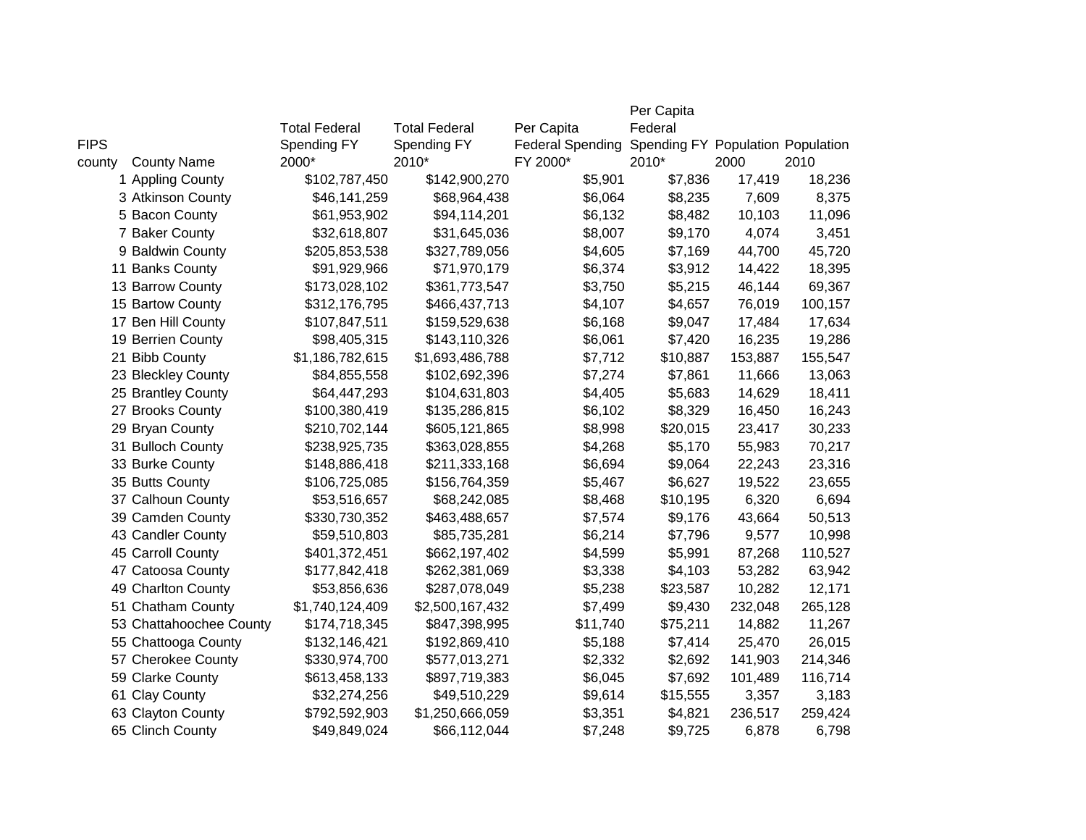|             |                         |                      |                      |                         | Per Capita                        |         |         |
|-------------|-------------------------|----------------------|----------------------|-------------------------|-----------------------------------|---------|---------|
|             |                         | <b>Total Federal</b> | <b>Total Federal</b> | Per Capita              | Federal                           |         |         |
| <b>FIPS</b> |                         | Spending FY          | Spending FY          | <b>Federal Spending</b> | Spending FY Population Population |         |         |
| county      | <b>County Name</b>      | 2000*                | 2010*                | FY 2000*                | 2010*                             | 2000    | 2010    |
|             | 1 Appling County        | \$102,787,450        | \$142,900,270        | \$5,901                 | \$7,836                           | 17,419  | 18,236  |
|             | 3 Atkinson County       | \$46,141,259         | \$68,964,438         | \$6,064                 | \$8,235                           | 7,609   | 8,375   |
|             | 5 Bacon County          | \$61,953,902         | \$94,114,201         | \$6,132                 | \$8,482                           | 10,103  | 11,096  |
|             | 7 Baker County          | \$32,618,807         | \$31,645,036         | \$8,007                 | \$9,170                           | 4,074   | 3,451   |
|             | 9 Baldwin County        | \$205,853,538        | \$327,789,056        | \$4,605                 | \$7,169                           | 44,700  | 45,720  |
|             | 11 Banks County         | \$91,929,966         | \$71,970,179         | \$6,374                 | \$3,912                           | 14,422  | 18,395  |
|             | 13 Barrow County        | \$173,028,102        | \$361,773,547        | \$3,750                 | \$5,215                           | 46,144  | 69,367  |
|             | 15 Bartow County        | \$312,176,795        | \$466,437,713        | \$4,107                 | \$4,657                           | 76,019  | 100,157 |
|             | 17 Ben Hill County      | \$107,847,511        | \$159,529,638        | \$6,168                 | \$9,047                           | 17,484  | 17,634  |
|             | 19 Berrien County       | \$98,405,315         | \$143,110,326        | \$6,061                 | \$7,420                           | 16,235  | 19,286  |
|             | 21 Bibb County          | \$1,186,782,615      | \$1,693,486,788      | \$7,712                 | \$10,887                          | 153,887 | 155,547 |
|             | 23 Bleckley County      | \$84,855,558         | \$102,692,396        | \$7,274                 | \$7,861                           | 11,666  | 13,063  |
|             | 25 Brantley County      | \$64,447,293         | \$104,631,803        | \$4,405                 | \$5,683                           | 14,629  | 18,411  |
|             | 27 Brooks County        | \$100,380,419        | \$135,286,815        | \$6,102                 | \$8,329                           | 16,450  | 16,243  |
|             | 29 Bryan County         | \$210,702,144        | \$605,121,865        | \$8,998                 | \$20,015                          | 23,417  | 30,233  |
|             | 31 Bulloch County       | \$238,925,735        | \$363,028,855        | \$4,268                 | \$5,170                           | 55,983  | 70,217  |
|             | 33 Burke County         | \$148,886,418        | \$211,333,168        | \$6,694                 | \$9,064                           | 22,243  | 23,316  |
|             | 35 Butts County         | \$106,725,085        | \$156,764,359        | \$5,467                 | \$6,627                           | 19,522  | 23,655  |
|             | 37 Calhoun County       | \$53,516,657         | \$68,242,085         | \$8,468                 | \$10,195                          | 6,320   | 6,694   |
|             | 39 Camden County        | \$330,730,352        | \$463,488,657        | \$7,574                 | \$9,176                           | 43,664  | 50,513  |
|             | 43 Candler County       | \$59,510,803         | \$85,735,281         | \$6,214                 | \$7,796                           | 9,577   | 10,998  |
|             | 45 Carroll County       | \$401,372,451        | \$662,197,402        | \$4,599                 | \$5,991                           | 87,268  | 110,527 |
|             | 47 Catoosa County       | \$177,842,418        | \$262,381,069        | \$3,338                 | \$4,103                           | 53,282  | 63,942  |
|             | 49 Charlton County      | \$53,856,636         | \$287,078,049        | \$5,238                 | \$23,587                          | 10,282  | 12,171  |
|             | 51 Chatham County       | \$1,740,124,409      | \$2,500,167,432      | \$7,499                 | \$9,430                           | 232,048 | 265,128 |
|             | 53 Chattahoochee County | \$174,718,345        | \$847,398,995        | \$11,740                | \$75,211                          | 14,882  | 11,267  |
|             | 55 Chattooga County     | \$132,146,421        | \$192,869,410        | \$5,188                 | \$7,414                           | 25,470  | 26,015  |
|             | 57 Cherokee County      | \$330,974,700        | \$577,013,271        | \$2,332                 | \$2,692                           | 141,903 | 214,346 |
|             | 59 Clarke County        | \$613,458,133        | \$897,719,383        | \$6,045                 | \$7,692                           | 101,489 | 116,714 |
|             | 61 Clay County          | \$32,274,256         | \$49,510,229         | \$9,614                 | \$15,555                          | 3,357   | 3,183   |
|             | 63 Clayton County       | \$792,592,903        | \$1,250,666,059      | \$3,351                 | \$4,821                           | 236,517 | 259,424 |
|             | 65 Clinch County        | \$49,849,024         | \$66,112,044         | \$7,248                 | \$9,725                           | 6,878   | 6,798   |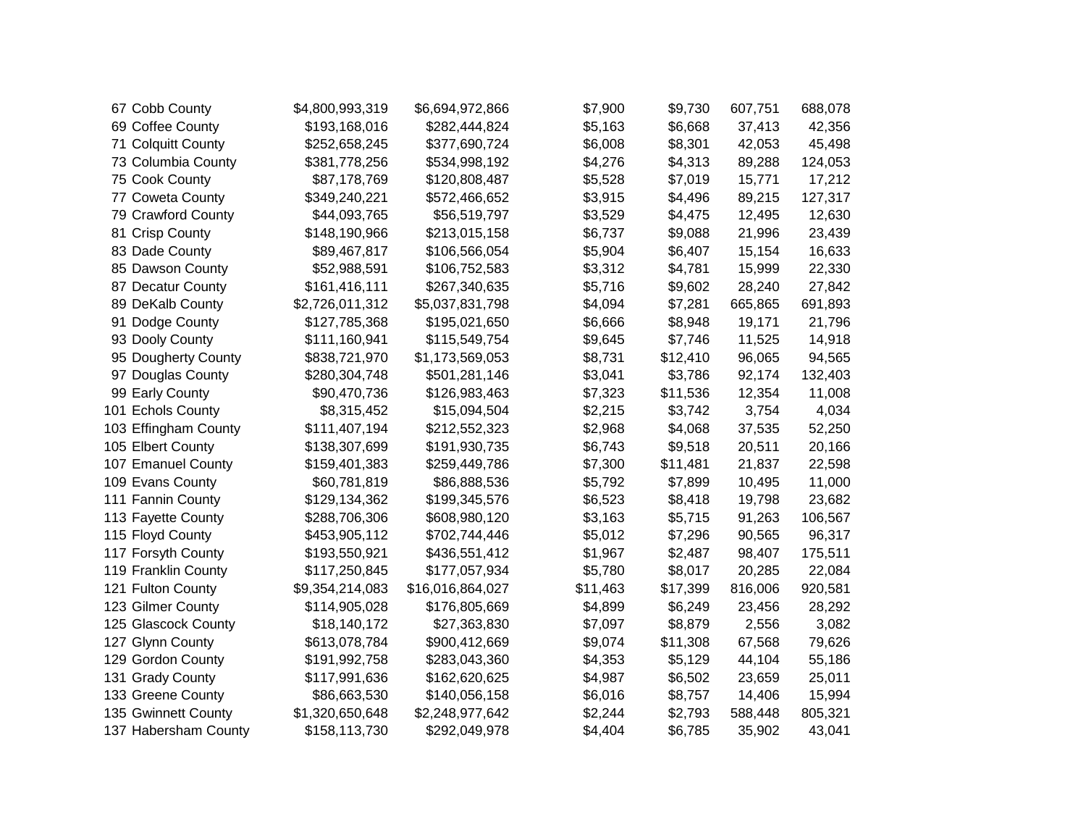| 67 Cobb County       | \$4,800,993,319 | \$6,694,972,866  | \$7,900  | \$9,730  | 607,751 | 688,078 |
|----------------------|-----------------|------------------|----------|----------|---------|---------|
| 69 Coffee County     | \$193,168,016   | \$282,444,824    | \$5,163  | \$6,668  | 37,413  | 42,356  |
| 71 Colquitt County   | \$252,658,245   | \$377,690,724    | \$6,008  | \$8,301  | 42,053  | 45,498  |
| 73 Columbia County   | \$381,778,256   | \$534,998,192    | \$4,276  | \$4,313  | 89,288  | 124,053 |
| 75 Cook County       | \$87,178,769    | \$120,808,487    | \$5,528  | \$7,019  | 15,771  | 17,212  |
| 77 Coweta County     | \$349,240,221   | \$572,466,652    | \$3,915  | \$4,496  | 89,215  | 127,317 |
| 79 Crawford County   | \$44,093,765    | \$56,519,797     | \$3,529  | \$4,475  | 12,495  | 12,630  |
| 81 Crisp County      | \$148,190,966   | \$213,015,158    | \$6,737  | \$9,088  | 21,996  | 23,439  |
| 83 Dade County       | \$89,467,817    | \$106,566,054    | \$5,904  | \$6,407  | 15,154  | 16,633  |
| 85 Dawson County     | \$52,988,591    | \$106,752,583    | \$3,312  | \$4,781  | 15,999  | 22,330  |
| 87 Decatur County    | \$161,416,111   | \$267,340,635    | \$5,716  | \$9,602  | 28,240  | 27,842  |
| 89 DeKalb County     | \$2,726,011,312 | \$5,037,831,798  | \$4,094  | \$7,281  | 665,865 | 691,893 |
| 91 Dodge County      | \$127,785,368   | \$195,021,650    | \$6,666  | \$8,948  | 19,171  | 21,796  |
| 93 Dooly County      | \$111,160,941   | \$115,549,754    | \$9,645  | \$7,746  | 11,525  | 14,918  |
| 95 Dougherty County  | \$838,721,970   | \$1,173,569,053  | \$8,731  | \$12,410 | 96,065  | 94,565  |
| 97 Douglas County    | \$280,304,748   | \$501,281,146    | \$3,041  | \$3,786  | 92,174  | 132,403 |
| 99 Early County      | \$90,470,736    | \$126,983,463    | \$7,323  | \$11,536 | 12,354  | 11,008  |
| 101 Echols County    | \$8,315,452     | \$15,094,504     | \$2,215  | \$3,742  | 3,754   | 4,034   |
| 103 Effingham County | \$111,407,194   | \$212,552,323    | \$2,968  | \$4,068  | 37,535  | 52,250  |
| 105 Elbert County    | \$138,307,699   | \$191,930,735    | \$6,743  | \$9,518  | 20,511  | 20,166  |
| 107 Emanuel County   | \$159,401,383   | \$259,449,786    | \$7,300  | \$11,481 | 21,837  | 22,598  |
| 109 Evans County     | \$60,781,819    | \$86,888,536     | \$5,792  | \$7,899  | 10,495  | 11,000  |
| 111 Fannin County    | \$129,134,362   | \$199,345,576    | \$6,523  | \$8,418  | 19,798  | 23,682  |
| 113 Fayette County   | \$288,706,306   | \$608,980,120    | \$3,163  | \$5,715  | 91,263  | 106,567 |
| 115 Floyd County     | \$453,905,112   | \$702,744,446    | \$5,012  | \$7,296  | 90,565  | 96,317  |
| 117 Forsyth County   | \$193,550,921   | \$436,551,412    | \$1,967  | \$2,487  | 98,407  | 175,511 |
| 119 Franklin County  | \$117,250,845   | \$177,057,934    | \$5,780  | \$8,017  | 20,285  | 22,084  |
| 121 Fulton County    | \$9,354,214,083 | \$16,016,864,027 | \$11,463 | \$17,399 | 816,006 | 920,581 |
| 123 Gilmer County    | \$114,905,028   | \$176,805,669    | \$4,899  | \$6,249  | 23,456  | 28,292  |
| 125 Glascock County  | \$18,140,172    | \$27,363,830     | \$7,097  | \$8,879  | 2,556   | 3,082   |
| 127 Glynn County     | \$613,078,784   | \$900,412,669    | \$9,074  | \$11,308 | 67,568  | 79,626  |
| 129 Gordon County    | \$191,992,758   | \$283,043,360    | \$4,353  | \$5,129  | 44,104  | 55,186  |
| 131 Grady County     | \$117,991,636   | \$162,620,625    | \$4,987  | \$6,502  | 23,659  | 25,011  |
| 133 Greene County    | \$86,663,530    | \$140,056,158    | \$6,016  | \$8,757  | 14,406  | 15,994  |
| 135 Gwinnett County  | \$1,320,650,648 | \$2,248,977,642  | \$2,244  | \$2,793  | 588,448 | 805,321 |
| 137 Habersham County | \$158,113,730   | \$292,049,978    | \$4,404  | \$6,785  | 35,902  | 43,041  |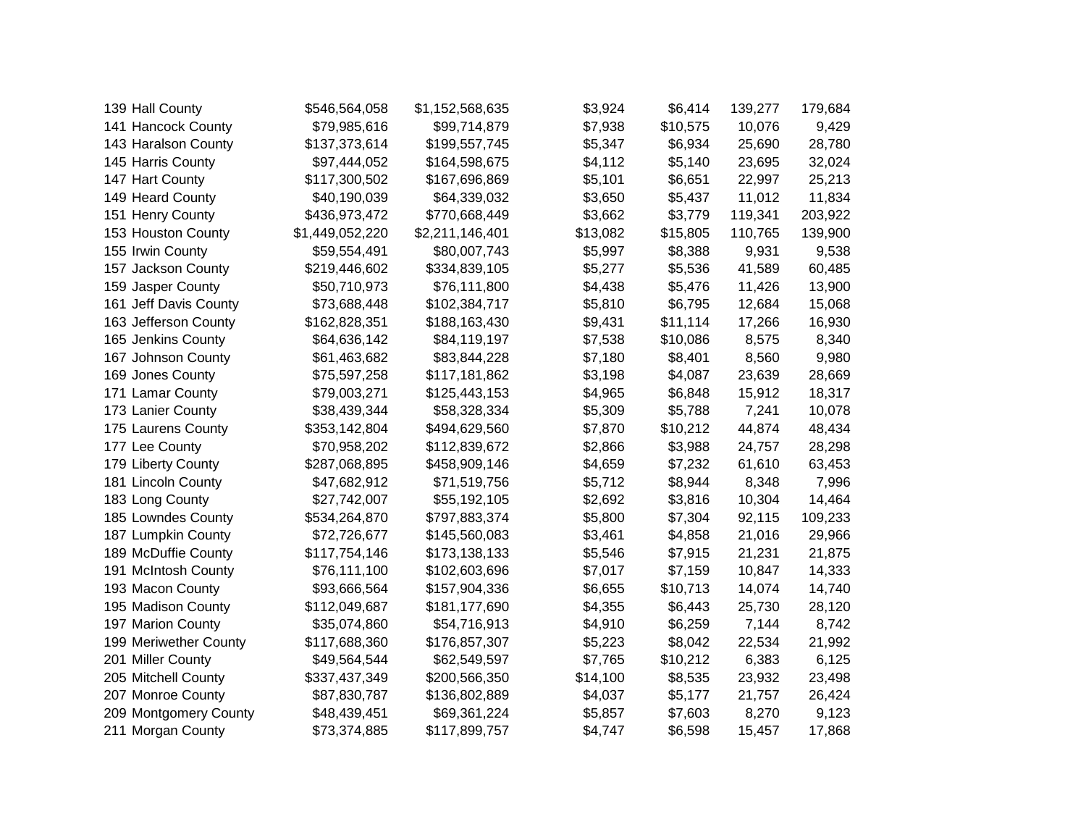| 139 Hall County       | \$546,564,058   | \$1,152,568,635 | \$3,924  | \$6,414  | 139,277 | 179,684 |
|-----------------------|-----------------|-----------------|----------|----------|---------|---------|
| 141 Hancock County    | \$79,985,616    | \$99,714,879    | \$7,938  | \$10,575 | 10,076  | 9,429   |
| 143 Haralson County   | \$137,373,614   | \$199,557,745   | \$5,347  | \$6,934  | 25,690  | 28,780  |
| 145 Harris County     | \$97,444,052    | \$164,598,675   | \$4,112  | \$5,140  | 23,695  | 32,024  |
| 147 Hart County       | \$117,300,502   | \$167,696,869   | \$5,101  | \$6,651  | 22,997  | 25,213  |
| 149 Heard County      | \$40,190,039    | \$64,339,032    | \$3,650  | \$5,437  | 11,012  | 11,834  |
| 151 Henry County      | \$436,973,472   | \$770,668,449   | \$3,662  | \$3,779  | 119,341 | 203,922 |
| 153 Houston County    | \$1,449,052,220 | \$2,211,146,401 | \$13,082 | \$15,805 | 110,765 | 139,900 |
| 155 Irwin County      | \$59,554,491    | \$80,007,743    | \$5,997  | \$8,388  | 9,931   | 9,538   |
| 157 Jackson County    | \$219,446,602   | \$334,839,105   | \$5,277  | \$5,536  | 41,589  | 60,485  |
| 159 Jasper County     | \$50,710,973    | \$76,111,800    | \$4,438  | \$5,476  | 11,426  | 13,900  |
| 161 Jeff Davis County | \$73,688,448    | \$102,384,717   | \$5,810  | \$6,795  | 12,684  | 15,068  |
| 163 Jefferson County  | \$162,828,351   | \$188,163,430   | \$9,431  | \$11,114 | 17,266  | 16,930  |
| 165 Jenkins County    | \$64,636,142    | \$84,119,197    | \$7,538  | \$10,086 | 8,575   | 8,340   |
| 167 Johnson County    | \$61,463,682    | \$83,844,228    | \$7,180  | \$8,401  | 8,560   | 9,980   |
| 169 Jones County      | \$75,597,258    | \$117,181,862   | \$3,198  | \$4,087  | 23,639  | 28,669  |
| 171 Lamar County      | \$79,003,271    | \$125,443,153   | \$4,965  | \$6,848  | 15,912  | 18,317  |
| 173 Lanier County     | \$38,439,344    | \$58,328,334    | \$5,309  | \$5,788  | 7,241   | 10,078  |
| 175 Laurens County    | \$353,142,804   | \$494,629,560   | \$7,870  | \$10,212 | 44,874  | 48,434  |
| 177 Lee County        | \$70,958,202    | \$112,839,672   | \$2,866  | \$3,988  | 24,757  | 28,298  |
| 179 Liberty County    | \$287,068,895   | \$458,909,146   | \$4,659  | \$7,232  | 61,610  | 63,453  |
| 181 Lincoln County    | \$47,682,912    | \$71,519,756    | \$5,712  | \$8,944  | 8,348   | 7,996   |
| 183 Long County       | \$27,742,007    | \$55,192,105    | \$2,692  | \$3,816  | 10,304  | 14,464  |
| 185 Lowndes County    | \$534,264,870   | \$797,883,374   | \$5,800  | \$7,304  | 92,115  | 109,233 |
| 187 Lumpkin County    | \$72,726,677    | \$145,560,083   | \$3,461  | \$4,858  | 21,016  | 29,966  |
| 189 McDuffie County   | \$117,754,146   | \$173,138,133   | \$5,546  | \$7,915  | 21,231  | 21,875  |
| 191 McIntosh County   | \$76,111,100    | \$102,603,696   | \$7,017  | \$7,159  | 10,847  | 14,333  |
| 193 Macon County      | \$93,666,564    | \$157,904,336   | \$6,655  | \$10,713 | 14,074  | 14,740  |
| 195 Madison County    | \$112,049,687   | \$181,177,690   | \$4,355  | \$6,443  | 25,730  | 28,120  |
| 197 Marion County     | \$35,074,860    | \$54,716,913    | \$4,910  | \$6,259  | 7,144   | 8,742   |
| 199 Meriwether County | \$117,688,360   | \$176,857,307   | \$5,223  | \$8,042  | 22,534  | 21,992  |
| 201 Miller County     | \$49,564,544    | \$62,549,597    | \$7,765  | \$10,212 | 6,383   | 6,125   |
| 205 Mitchell County   | \$337,437,349   | \$200,566,350   | \$14,100 | \$8,535  | 23,932  | 23,498  |
| 207 Monroe County     | \$87,830,787    | \$136,802,889   | \$4,037  | \$5,177  | 21,757  | 26,424  |
| 209 Montgomery County | \$48,439,451    | \$69,361,224    | \$5,857  | \$7,603  | 8,270   | 9,123   |
| 211 Morgan County     | \$73,374,885    | \$117,899,757   | \$4,747  | \$6,598  | 15,457  | 17,868  |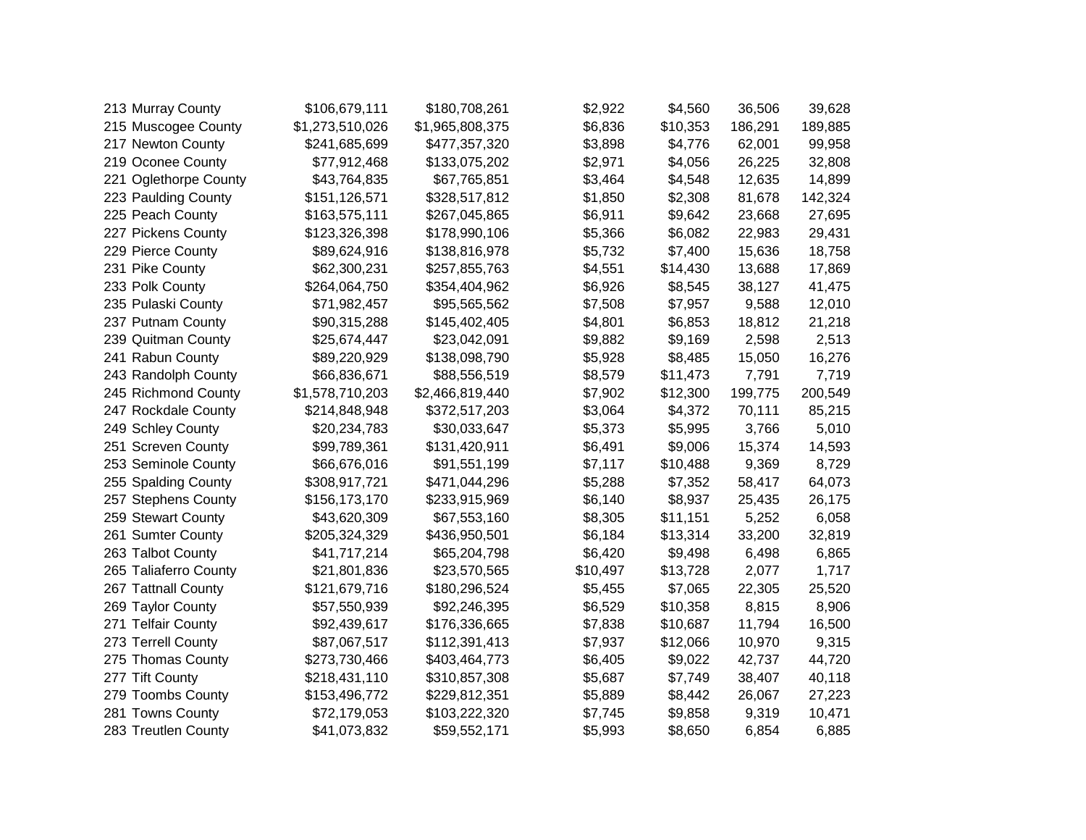| 213 Murray County     | \$106,679,111   | \$180,708,261   | \$2,922  | \$4,560  | 36,506  | 39,628  |
|-----------------------|-----------------|-----------------|----------|----------|---------|---------|
| 215 Muscogee County   | \$1,273,510,026 | \$1,965,808,375 | \$6,836  | \$10,353 | 186,291 | 189,885 |
| 217 Newton County     | \$241,685,699   | \$477,357,320   | \$3,898  | \$4,776  | 62,001  | 99,958  |
| 219 Oconee County     | \$77,912,468    | \$133,075,202   | \$2,971  | \$4,056  | 26,225  | 32,808  |
| 221 Oglethorpe County | \$43,764,835    | \$67,765,851    | \$3,464  | \$4,548  | 12,635  | 14,899  |
| 223 Paulding County   | \$151,126,571   | \$328,517,812   | \$1,850  | \$2,308  | 81,678  | 142,324 |
| 225 Peach County      | \$163,575,111   | \$267,045,865   | \$6,911  | \$9,642  | 23,668  | 27,695  |
| 227 Pickens County    | \$123,326,398   | \$178,990,106   | \$5,366  | \$6,082  | 22,983  | 29,431  |
| 229 Pierce County     | \$89,624,916    | \$138,816,978   | \$5,732  | \$7,400  | 15,636  | 18,758  |
| 231 Pike County       | \$62,300,231    | \$257,855,763   | \$4,551  | \$14,430 | 13,688  | 17,869  |
| 233 Polk County       | \$264,064,750   | \$354,404,962   | \$6,926  | \$8,545  | 38,127  | 41,475  |
| 235 Pulaski County    | \$71,982,457    | \$95,565,562    | \$7,508  | \$7,957  | 9,588   | 12,010  |
| 237 Putnam County     | \$90,315,288    | \$145,402,405   | \$4,801  | \$6,853  | 18,812  | 21,218  |
| 239 Quitman County    | \$25,674,447    | \$23,042,091    | \$9,882  | \$9,169  | 2,598   | 2,513   |
| 241 Rabun County      | \$89,220,929    | \$138,098,790   | \$5,928  | \$8,485  | 15,050  | 16,276  |
| 243 Randolph County   | \$66,836,671    | \$88,556,519    | \$8,579  | \$11,473 | 7,791   | 7,719   |
| 245 Richmond County   | \$1,578,710,203 | \$2,466,819,440 | \$7,902  | \$12,300 | 199,775 | 200,549 |
| 247 Rockdale County   | \$214,848,948   | \$372,517,203   | \$3,064  | \$4,372  | 70,111  | 85,215  |
| 249 Schley County     | \$20,234,783    | \$30,033,647    | \$5,373  | \$5,995  | 3,766   | 5,010   |
| 251 Screven County    | \$99,789,361    | \$131,420,911   | \$6,491  | \$9,006  | 15,374  | 14,593  |
| 253 Seminole County   | \$66,676,016    | \$91,551,199    | \$7,117  | \$10,488 | 9,369   | 8,729   |
| 255 Spalding County   | \$308,917,721   | \$471,044,296   | \$5,288  | \$7,352  | 58,417  | 64,073  |
| 257 Stephens County   | \$156,173,170   | \$233,915,969   | \$6,140  | \$8,937  | 25,435  | 26,175  |
| 259 Stewart County    | \$43,620,309    | \$67,553,160    | \$8,305  | \$11,151 | 5,252   | 6,058   |
| 261 Sumter County     | \$205,324,329   | \$436,950,501   | \$6,184  | \$13,314 | 33,200  | 32,819  |
| 263 Talbot County     | \$41,717,214    | \$65,204,798    | \$6,420  | \$9,498  | 6,498   | 6,865   |
| 265 Taliaferro County | \$21,801,836    | \$23,570,565    | \$10,497 | \$13,728 | 2,077   | 1,717   |
| 267 Tattnall County   | \$121,679,716   | \$180,296,524   | \$5,455  | \$7,065  | 22,305  | 25,520  |
| 269 Taylor County     | \$57,550,939    | \$92,246,395    | \$6,529  | \$10,358 | 8,815   | 8,906   |
| 271 Telfair County    | \$92,439,617    | \$176,336,665   | \$7,838  | \$10,687 | 11,794  | 16,500  |
| 273 Terrell County    | \$87,067,517    | \$112,391,413   | \$7,937  | \$12,066 | 10,970  | 9,315   |
| 275 Thomas County     | \$273,730,466   | \$403,464,773   | \$6,405  | \$9,022  | 42,737  | 44,720  |
| 277 Tift County       | \$218,431,110   | \$310,857,308   | \$5,687  | \$7,749  | 38,407  | 40,118  |
| 279 Toombs County     | \$153,496,772   | \$229,812,351   | \$5,889  | \$8,442  | 26,067  | 27,223  |
| 281 Towns County      | \$72,179,053    | \$103,222,320   | \$7,745  | \$9,858  | 9,319   | 10,471  |
| 283 Treutlen County   | \$41,073,832    | \$59,552,171    | \$5,993  | \$8,650  | 6,854   | 6,885   |